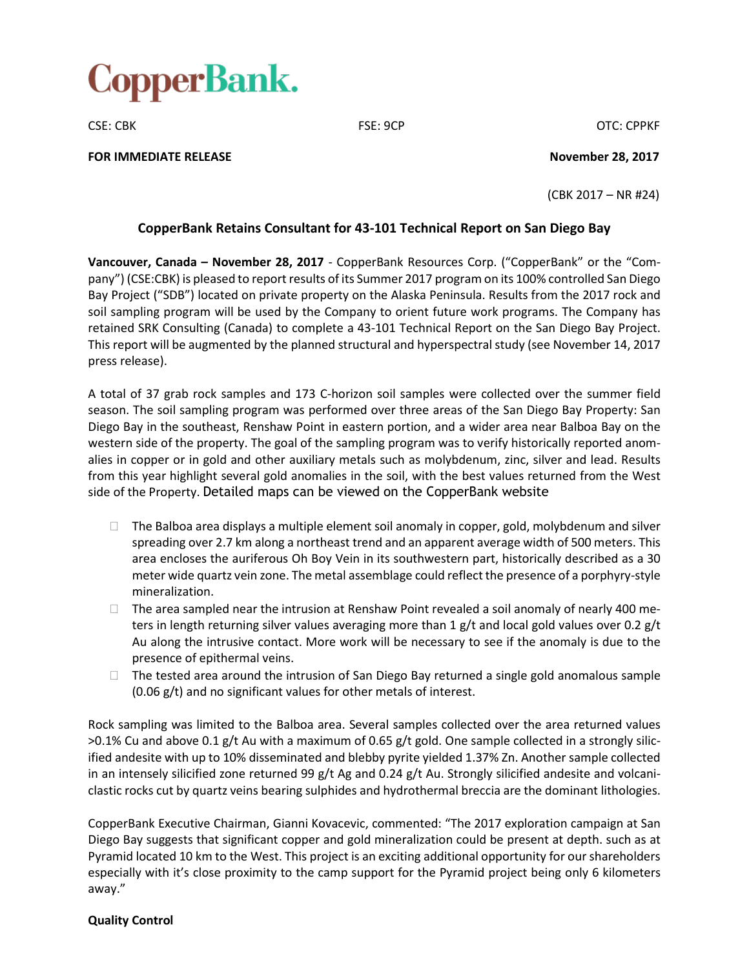

CSE: CBK CSE: OCP CSE: 9CP CSE: CBK

**FOR IMMEDIATE RELEASE November 28, 2017**

(CBK 2017 – NR #24)

## **CopperBank Retains Consultant for 43-101 Technical Report on San Diego Bay**

**Vancouver, Canada – November 28, 2017** - CopperBank Resources Corp. ("CopperBank" or the "Company") (CSE:CBK) is pleased to report results of its Summer 2017 program on its 100% controlled San Diego Bay Project ("SDB") located on private property on the Alaska Peninsula. Results from the 2017 rock and soil sampling program will be used by the Company to orient future work programs. The Company has retained SRK Consulting (Canada) to complete a 43-101 Technical Report on the San Diego Bay Project. This report will be augmented by the planned structural and hyperspectralstudy (see November 14, 2017 press release).

A total of 37 grab rock samples and 173 C-horizon soil samples were collected over the summer field season. The soil sampling program was performed over three areas of the San Diego Bay Property: San Diego Bay in the southeast, Renshaw Point in eastern portion, and a wider area near Balboa Bay on the western side of the property. The goal of the sampling program was to verify historically reported anomalies in copper or in gold and other auxiliary metals such as molybdenum, zinc, silver and lead. Results from this year highlight several gold anomalies in the soil, with the best values returned from the West side of the Property. Detailed maps can be viewed on the CopperBank website

- $\Box$  The Balboa area displays a multiple element soil anomaly in copper, gold, molybdenum and silver spreading over 2.7 km along a northeast trend and an apparent average width of 500 meters. This area encloses the auriferous Oh Boy Vein in its southwestern part, historically described as a 30 meter wide quartz vein zone. The metal assemblage could reflect the presence of a porphyry-style mineralization.
- $\Box$  The area sampled near the intrusion at Renshaw Point revealed a soil anomaly of nearly 400 meters in length returning silver values averaging more than 1  $g/t$  and local gold values over 0.2  $g/t$ Au along the intrusive contact. More work will be necessary to see if the anomaly is due to the presence of epithermal veins.
- $\Box$  The tested area around the intrusion of San Diego Bay returned a single gold anomalous sample (0.06 g/t) and no significant values for other metals of interest.

Rock sampling was limited to the Balboa area. Several samples collected over the area returned values >0.1% Cu and above 0.1 g/t Au with a maximum of 0.65 g/t gold. One sample collected in a strongly silicified andesite with up to 10% disseminated and blebby pyrite yielded 1.37% Zn. Another sample collected in an intensely silicified zone returned 99 g/t Ag and 0.24 g/t Au. Strongly silicified andesite and volcaniclastic rocks cut by quartz veins bearing sulphides and hydrothermal breccia are the dominant lithologies.

CopperBank Executive Chairman, Gianni Kovacevic, commented: "The 2017 exploration campaign at San Diego Bay suggests that significant copper and gold mineralization could be present at depth. such as at Pyramid located 10 km to the West. This project is an exciting additional opportunity for our shareholders especially with it's close proximity to the camp support for the Pyramid project being only 6 kilometers away."

## **Quality Control**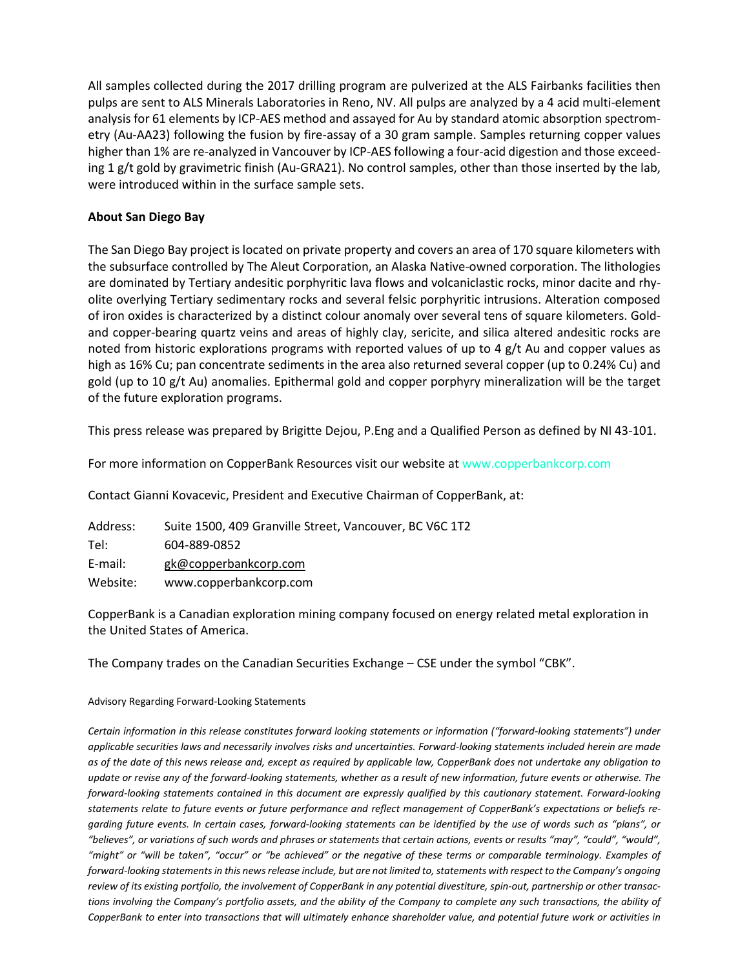All samples collected during the 2017 drilling program are pulverized at the ALS Fairbanks facilities then pulps are sent to ALS Minerals Laboratories in Reno, NV. All pulps are analyzed by a 4 acid multi-element analysis for 61 elements by ICP-AES method and assayed for Au by standard atomic absorption spectrometry (Au-AA23) following the fusion by fire-assay of a 30 gram sample. Samples returning copper values higher than 1% are re-analyzed in Vancouver by ICP-AES following a four-acid digestion and those exceeding 1 g/t gold by gravimetric finish (Au-GRA21). No control samples, other than those inserted by the lab, were introduced within in the surface sample sets.

## **About San Diego Bay**

The San Diego Bay project is located on private property and covers an area of 170 square kilometers with the subsurface controlled by The Aleut Corporation, an Alaska Native-owned corporation. The lithologies are dominated by Tertiary andesitic porphyritic lava flows and volcaniclastic rocks, minor dacite and rhyolite overlying Tertiary sedimentary rocks and several felsic porphyritic intrusions. Alteration composed of iron oxides is characterized by a distinct colour anomaly over several tens of square kilometers. Goldand copper-bearing quartz veins and areas of highly clay, sericite, and silica altered andesitic rocks are noted from historic explorations programs with reported values of up to 4 g/t Au and copper values as high as 16% Cu; pan concentrate sediments in the area also returned several copper (up to 0.24% Cu) and gold (up to 10 g/t Au) anomalies. Epithermal gold and copper porphyry mineralization will be the target of the future exploration programs.

This press release was prepared by Brigitte Dejou, P.Eng and a Qualified Person as defined by NI 43-101.

For more information on CopperBank Resources visit our website at www.copperbankcorp.com

Contact Gianni Kovacevic, President and Executive Chairman of CopperBank, at:

Address: Suite 1500, 409 Granville Street, Vancouver, BC V6C 1T2 Tel: 604-889-0852 E-mail: gk@copperbankcorp.com Website: www.copperbankcorp.com

CopperBank is a Canadian exploration mining company focused on energy related metal exploration in the United States of America.

The Company trades on the Canadian Securities Exchange – CSE under the symbol "CBK".

## Advisory Regarding Forward-Looking Statements

Certain information in this release constitutes forward looking statements or information ("forward-looking statements") under applicable securities laws and necessarily involves risks and uncertainties. Forward-looking statements included herein are made as of the date of this news release and, except as required by applicable law, CopperBank does not undertake any obligation to update or revise any of the forward-looking statements, whether as a result of new information, future events or otherwise. The *forward-looking statements contained in this document are expressly qualified by this cautionary statement. Forward-looking* statements relate to future events or future performance and reflect management of CopperBank's expectations or beliefs regarding future events. In certain cases, forward-looking statements can be identified by the use of words such as "plans", or "believes", or variations of such words and phrases or statements that certain actions, events or results "may", "could", "would", "might" or "will be taken", "occur" or "be achieved" or the negative of these terms or comparable terminology. Examples of forward-looking statements in this news release include, but are not limited to, statements with respect to the Company's ongoing review of its existing portfolio, the involvement of CopperBank in any potential divestiture, spin-out, partnership or other transactions involving the Company's portfolio assets, and the ability of the Company to complete any such transactions, the ability of CopperBank to enter into transactions that will ultimately enhance shareholder value, and potential future work or activities in